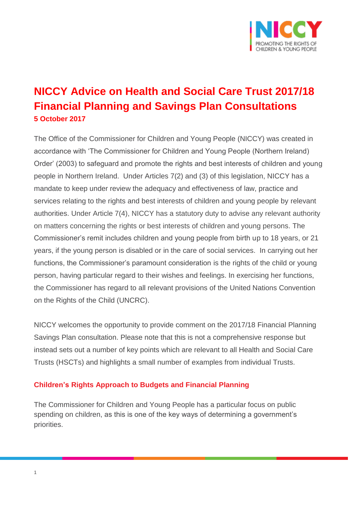

# **NICCY Advice on Health and Social Care Trust 2017/18 Financial Planning and Savings Plan Consultations 5 October 2017**

The Office of the Commissioner for Children and Young People (NICCY) was created in accordance with 'The Commissioner for Children and Young People (Northern Ireland) Order' (2003) to safeguard and promote the rights and best interests of children and young people in Northern Ireland. Under Articles 7(2) and (3) of this legislation, NICCY has a mandate to keep under review the adequacy and effectiveness of law, practice and services relating to the rights and best interests of children and young people by relevant authorities. Under Article 7(4), NICCY has a statutory duty to advise any relevant authority on matters concerning the rights or best interests of children and young persons. The Commissioner's remit includes children and young people from birth up to 18 years, or 21 years, if the young person is disabled or in the care of social services. In carrying out her functions, the Commissioner's paramount consideration is the rights of the child or young person, having particular regard to their wishes and feelings. In exercising her functions, the Commissioner has regard to all relevant provisions of the United Nations Convention on the Rights of the Child (UNCRC).

NICCY welcomes the opportunity to provide comment on the 2017/18 Financial Planning Savings Plan consultation. Please note that this is not a comprehensive response but instead sets out a number of key points which are relevant to all Health and Social Care Trusts (HSCTs) and highlights a small number of examples from individual Trusts.

### **Children's Rights Approach to Budgets and Financial Planning**

The Commissioner for Children and Young People has a particular focus on public spending on children, as this is one of the key ways of determining a government's priorities.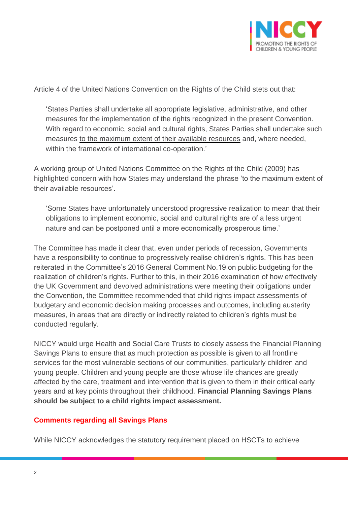

Article 4 of the United Nations Convention on the Rights of the Child stets out that:

'States Parties shall undertake all appropriate legislative, administrative, and other measures for the implementation of the rights recognized in the present Convention. With regard to economic, social and cultural rights, States Parties shall undertake such measures to the maximum extent of their available resources and, where needed, within the framework of international co-operation.'

A working group of United Nations Committee on the Rights of the Child (2009) has highlighted concern with how States may understand the phrase 'to the maximum extent of their available resources'.

'Some States have unfortunately understood progressive realization to mean that their obligations to implement economic, social and cultural rights are of a less urgent nature and can be postponed until a more economically prosperous time.'

The Committee has made it clear that, even under periods of recession, Governments have a responsibility to continue to progressively realise children's rights. This has been reiterated in the Committee's 2016 General Comment No.19 on public budgeting for the realization of children's rights. Further to this, in their 2016 examination of how effectively the UK Government and devolved administrations were meeting their obligations under the Convention, the Committee recommended that child rights impact assessments of budgetary and economic decision making processes and outcomes, including austerity measures, in areas that are directly or indirectly related to children's rights must be conducted regularly.

NICCY would urge Health and Social Care Trusts to closely assess the Financial Planning Savings Plans to ensure that as much protection as possible is given to all frontline services for the most vulnerable sections of our communities, particularly children and young people. Children and young people are those whose life chances are greatly affected by the care, treatment and intervention that is given to them in their critical early years and at key points throughout their childhood. **Financial Planning Savings Plans should be subject to a child rights impact assessment.** 

### **Comments regarding all Savings Plans**

While NICCY acknowledges the statutory requirement placed on HSCTs to achieve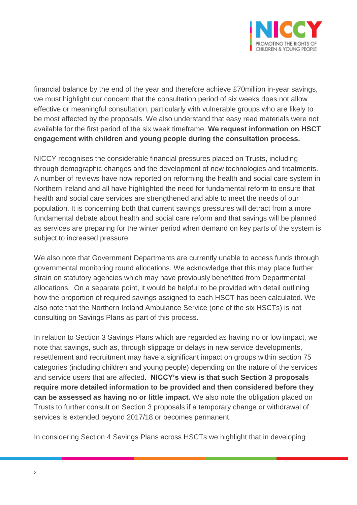

financial balance by the end of the year and therefore achieve £70million in-year savings, we must highlight our concern that the consultation period of six weeks does not allow effective or meaningful consultation, particularly with vulnerable groups who are likely to be most affected by the proposals. We also understand that easy read materials were not available for the first period of the six week timeframe. **We request information on HSCT engagement with children and young people during the consultation process.**

NICCY recognises the considerable financial pressures placed on Trusts, including through demographic changes and the development of new technologies and treatments. A number of reviews have now reported on reforming the health and social care system in Northern Ireland and all have highlighted the need for fundamental reform to ensure that health and social care services are strengthened and able to meet the needs of our population. It is concerning both that current savings pressures will detract from a more fundamental debate about health and social care reform and that savings will be planned as services are preparing for the winter period when demand on key parts of the system is subject to increased pressure.

We also note that Government Departments are currently unable to access funds through governmental monitoring round allocations. We acknowledge that this may place further strain on statutory agencies which may have previously benefitted from Departmental allocations. On a separate point, it would be helpful to be provided with detail outlining how the proportion of required savings assigned to each HSCT has been calculated. We also note that the Northern Ireland Ambulance Service (one of the six HSCTs) is not consulting on Savings Plans as part of this process.

In relation to Section 3 Savings Plans which are regarded as having no or low impact, we note that savings, such as, through slippage or delays in new service developments, resettlement and recruitment may have a significant impact on groups within section 75 categories (including children and young people) depending on the nature of the services and service users that are affected. **NICCY's view is that such Section 3 proposals require more detailed information to be provided and then considered before they can be assessed as having no or little impact.** We also note the obligation placed on Trusts to further consult on Section 3 proposals if a temporary change or withdrawal of services is extended beyond 2017/18 or becomes permanent.

In considering Section 4 Savings Plans across HSCTs we highlight that in developing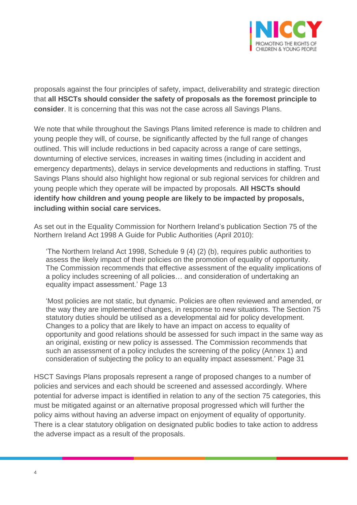

proposals against the four principles of safety, impact, deliverability and strategic direction that **all HSCTs should consider the safety of proposals as the foremost principle to consider**. It is concerning that this was not the case across all Savings Plans.

We note that while throughout the Savings Plans limited reference is made to children and young people they will, of course, be significantly affected by the full range of changes outlined. This will include reductions in bed capacity across a range of care settings, downturning of elective services, increases in waiting times (including in accident and emergency departments), delays in service developments and reductions in staffing. Trust Savings Plans should also highlight how regional or sub regional services for children and young people which they operate will be impacted by proposals. **All HSCTs should identify how children and young people are likely to be impacted by proposals, including within social care services.**

As set out in the Equality Commission for Northern Ireland's publication Section 75 of the Northern Ireland Act 1998 A Guide for Public Authorities (April 2010):

'The Northern Ireland Act 1998, Schedule 9 (4) (2) (b), requires public authorities to assess the likely impact of their policies on the promotion of equality of opportunity. The Commission recommends that effective assessment of the equality implications of a policy includes screening of all policies… and consideration of undertaking an equality impact assessment.' Page 13

'Most policies are not static, but dynamic. Policies are often reviewed and amended, or the way they are implemented changes, in response to new situations. The Section 75 statutory duties should be utilised as a developmental aid for policy development. Changes to a policy that are likely to have an impact on access to equality of opportunity and good relations should be assessed for such impact in the same way as an original, existing or new policy is assessed. The Commission recommends that such an assessment of a policy includes the screening of the policy (Annex 1) and consideration of subjecting the policy to an equality impact assessment.' Page 31

HSCT Savings Plans proposals represent a range of proposed changes to a number of policies and services and each should be screened and assessed accordingly. Where potential for adverse impact is identified in relation to any of the section 75 categories, this must be mitigated against or an alternative proposal progressed which will further the policy aims without having an adverse impact on enjoyment of equality of opportunity. There is a clear statutory obligation on designated public bodies to take action to address the adverse impact as a result of the proposals.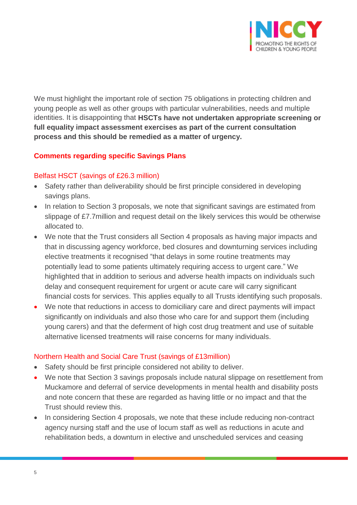

We must highlight the important role of section 75 obligations in protecting children and young people as well as other groups with particular vulnerabilities, needs and multiple identities. It is disappointing that **HSCTs have not undertaken appropriate screening or full equality impact assessment exercises as part of the current consultation process and this should be remedied as a matter of urgency.**

### **Comments regarding specific Savings Plans**

#### Belfast HSCT (savings of £26.3 million)

- Safety rather than deliverability should be first principle considered in developing savings plans.
- In relation to Section 3 proposals, we note that significant savings are estimated from slippage of £7.7million and request detail on the likely services this would be otherwise allocated to.
- We note that the Trust considers all Section 4 proposals as having major impacts and that in discussing agency workforce, bed closures and downturning services including elective treatments it recognised "that delays in some routine treatments may potentially lead to some patients ultimately requiring access to urgent care." We highlighted that in addition to serious and adverse health impacts on individuals such delay and consequent requirement for urgent or acute care will carry significant financial costs for services. This applies equally to all Trusts identifying such proposals.
- We note that reductions in access to domiciliary care and direct payments will impact significantly on individuals and also those who care for and support them (including young carers) and that the deferment of high cost drug treatment and use of suitable alternative licensed treatments will raise concerns for many individuals.

### Northern Health and Social Care Trust (savings of £13million)

- Safety should be first principle considered not ability to deliver.
- We note that Section 3 savings proposals include natural slippage on resettlement from Muckamore and deferral of service developments in mental health and disability posts and note concern that these are regarded as having little or no impact and that the Trust should review this.
- In considering Section 4 proposals, we note that these include reducing non-contract agency nursing staff and the use of locum staff as well as reductions in acute and rehabilitation beds, a downturn in elective and unscheduled services and ceasing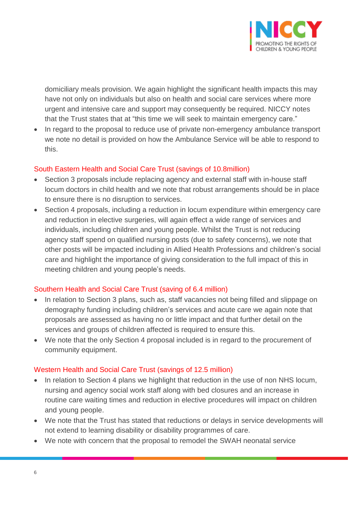

domiciliary meals provision. We again highlight the significant health impacts this may have not only on individuals but also on health and social care services where more urgent and intensive care and support may consequently be required. NICCY notes that the Trust states that at "this time we will seek to maintain emergency care."

 In regard to the proposal to reduce use of private non-emergency ambulance transport we note no detail is provided on how the Ambulance Service will be able to respond to this.

### South Eastern Health and Social Care Trust (savings of 10.8million)

- Section 3 proposals include replacing agency and external staff with in-house staff locum doctors in child health and we note that robust arrangements should be in place to ensure there is no disruption to services.
- Section 4 proposals, including a reduction in locum expenditure within emergency care and reduction in elective surgeries, will again effect a wide range of services and individuals, including children and young people. Whilst the Trust is not reducing agency staff spend on qualified nursing posts (due to safety concerns), we note that other posts will be impacted including in Allied Health Professions and children's social care and highlight the importance of giving consideration to the full impact of this in meeting children and young people's needs.

### Southern Health and Social Care Trust (saving of 6.4 million)

- In relation to Section 3 plans, such as, staff vacancies not being filled and slippage on demography funding including children's services and acute care we again note that proposals are assessed as having no or little impact and that further detail on the services and groups of children affected is required to ensure this.
- We note that the only Section 4 proposal included is in regard to the procurement of community equipment.

#### Western Health and Social Care Trust (savings of 12.5 million)

- In relation to Section 4 plans we highlight that reduction in the use of non NHS locum, nursing and agency social work staff along with bed closures and an increase in routine care waiting times and reduction in elective procedures will impact on children and young people.
- We note that the Trust has stated that reductions or delays in service developments will not extend to learning disability or disability programmes of care.
- We note with concern that the proposal to remodel the SWAH neonatal service